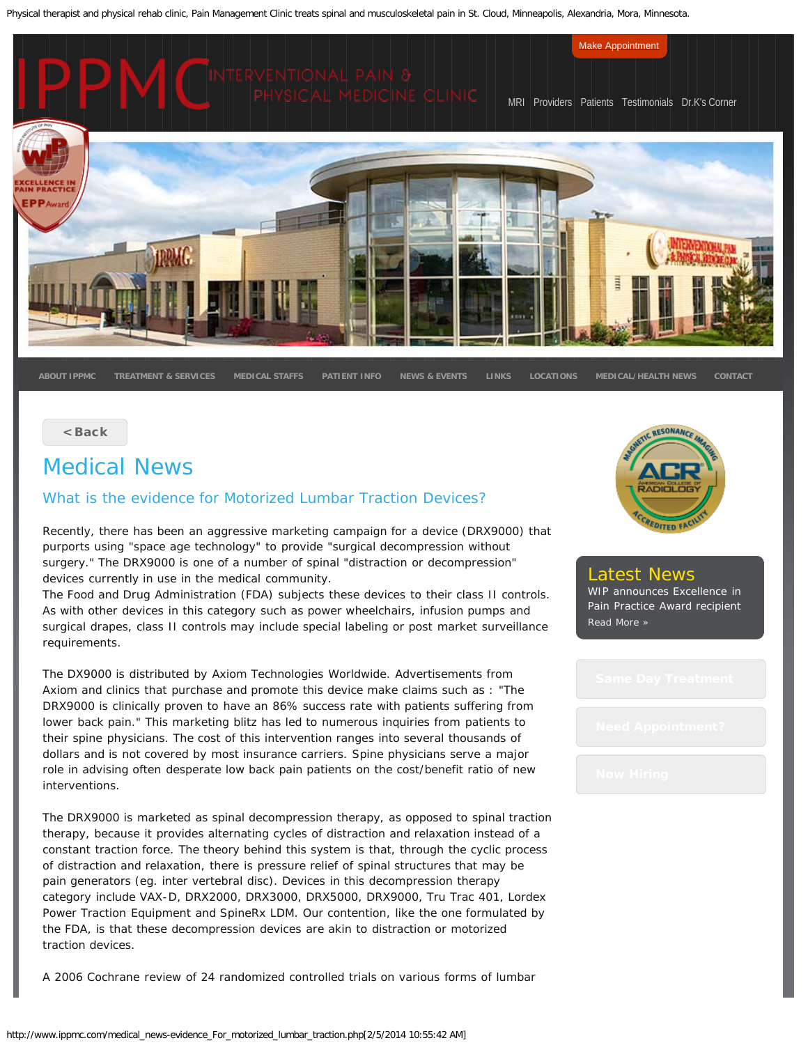Physical therapist and physical rehab clinic, Pain Management Clinic treats spinal and musculoskeletal pain in St. Cloud, Minneapolis, Alexandria, Mora, Minnesota.



[< Back](http://www.ippmc.com/medical_health_news-medical_news.php)

# Medical News

### What is the evidence for Motorized Lumbar Traction Devices?

Recently, there has been an aggressive marketing campaign for a device (DRX9000) that purports using "space age technology" to provide "surgical decompression without surgery." The DRX9000 is one of a number of spinal "distraction or decompression" devices currently in use in the medical community.

The Food and Drug Administration (FDA) subjects these devices to their class II controls. As with other devices in this category such as power wheelchairs, infusion pumps and surgical drapes, class II controls may include special labeling or post market surveillance requirements.

The DX9000 is distributed by Axiom Technologies Worldwide. Advertisements from Axiom and clinics that purchase and promote this device make claims such as : "The DRX9000 is clinically proven to have an 86% success rate with patients suffering from lower back pain." This marketing blitz has led to numerous inquiries from patients to their spine physicians. The cost of this intervention ranges into several thousands of dollars and is not covered by most insurance carriers. Spine physicians serve a major role in advising often desperate low back pain patients on the cost/benefit ratio of new interventions.

The DRX9000 is marketed as spinal decompression therapy, as opposed to spinal traction therapy, because it provides alternating cycles of distraction and relaxation instead of a constant traction force. The theory behind this system is that, through the cyclic process of distraction and relaxation, there is pressure relief of spinal structures that may be pain generators (eg. inter vertebral disc). Devices in this decompression therapy category include VAX-D, DRX2000, DRX3000, DRX5000, DRX9000, Tru Trac 401, Lordex Power Traction Equipment and SpineRx LDM. Our contention, like the one formulated by the FDA, is that these decompression devices are akin to distraction or motorized traction devices.

A 2006 Cochrane review of 24 randomized controlled trials on various forms of lumbar



# Latest News

WIP announces Excellence in Pain Practice Award recipient [Read More »](http://www.ippmc.com/dr_k_corner.php)